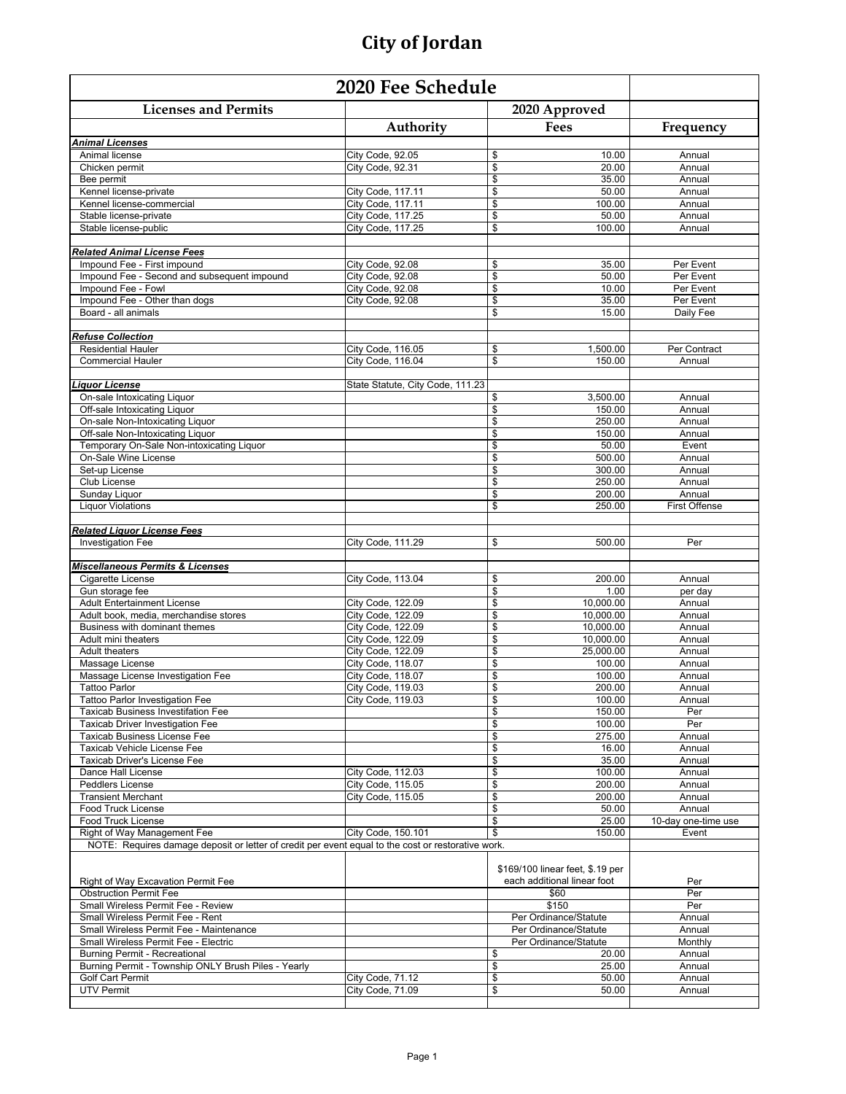| <b>Licenses and Permits</b>                                                                        |                                        | 2020 Approved                    |                      |
|----------------------------------------------------------------------------------------------------|----------------------------------------|----------------------------------|----------------------|
|                                                                                                    | Authority                              | Fees                             | Frequency            |
| <b>Animal Licenses</b>                                                                             |                                        |                                  |                      |
| Animal license                                                                                     | City Code, 92.05                       | \$<br>10.00                      | Annual               |
| Chicken permit                                                                                     | City Code, 92.31                       | \$<br>20.00                      | Annual               |
| Bee permit                                                                                         |                                        | \$<br>35.00                      | Annual               |
| Kennel license-private                                                                             | City Code, 117.11                      | \$<br>50.00<br>\$<br>100.00      | Annual               |
| Kennel license-commercial<br>Stable license-private                                                | City Code, 117.11<br>City Code, 117.25 | \$<br>50.00                      | Annual<br>Annual     |
| Stable license-public                                                                              | City Code, 117.25                      | \$<br>100.00                     | Annual               |
|                                                                                                    |                                        |                                  |                      |
| <b>Related Animal License Fees</b>                                                                 |                                        |                                  |                      |
| Impound Fee - First impound                                                                        | City Code, 92.08                       | \$<br>35.00                      | Per Event            |
| Impound Fee - Second and subsequent impound                                                        | City Code, 92.08                       | \$<br>50.00                      | Per Event            |
| Impound Fee - Fowl                                                                                 | City Code, 92.08                       | \$<br>10.00                      | Per Event            |
| Impound Fee - Other than dogs                                                                      | City Code, 92.08                       | \$<br>35.00                      | Per Event            |
| Board - all animals                                                                                |                                        | \$<br>15.00                      | Daily Fee            |
| <b>Refuse Collection</b>                                                                           |                                        |                                  |                      |
| <b>Residential Hauler</b>                                                                          | City Code, 116.05                      | \$<br>1,500.00                   | Per Contract         |
| <b>Commercial Hauler</b>                                                                           | City Code, 116.04                      | \$<br>150.00                     | Annual               |
|                                                                                                    |                                        |                                  |                      |
| Liquor License                                                                                     | State Statute, City Code, 111.23       |                                  |                      |
| On-sale Intoxicating Liquor                                                                        |                                        | 3,500.00<br>\$                   | Annual               |
| Off-sale Intoxicating Liquor                                                                       |                                        | \$<br>150.00                     | Annual               |
| On-sale Non-Intoxicating Liquor                                                                    |                                        | \$<br>250.00                     | Annual               |
| Off-sale Non-Intoxicating Liquor                                                                   |                                        | \$<br>150.00                     | Annual               |
| Temporary On-Sale Non-intoxicating Liguor                                                          |                                        | \$<br>50.00                      | Event                |
| On-Sale Wine License<br>Set-up License                                                             |                                        | \$<br>500.00<br>\$<br>300.00     | Annual<br>Annual     |
| Club License                                                                                       |                                        | \$<br>250.00                     | Annual               |
| Sunday Liquor                                                                                      |                                        | \$<br>200.00                     | Annual               |
| <b>Liquor Violations</b>                                                                           |                                        | \$<br>250.00                     | <b>First Offense</b> |
|                                                                                                    |                                        |                                  |                      |
| <b>Related Liquor License Fees</b>                                                                 |                                        |                                  |                      |
| <b>Investigation Fee</b>                                                                           | City Code, 111.29                      | \$<br>500.00                     | Per                  |
|                                                                                                    |                                        |                                  |                      |
| <b>Miscellaneous Permits &amp; Licenses</b>                                                        |                                        |                                  |                      |
| Cigarette License                                                                                  | City Code, 113.04                      | \$<br>200.00                     | Annual               |
| Gun storage fee<br><b>Adult Entertainment License</b>                                              | City Code, 122.09                      | \$<br>1.00<br>\$<br>10,000.00    | per day<br>Annual    |
| Adult book, media, merchandise stores                                                              | City Code, 122.09                      | \$<br>10,000.00                  | Annual               |
| Business with dominant themes                                                                      | City Code, 122.09                      | \$<br>10,000.00                  | Annual               |
| Adult mini theaters                                                                                | City Code, 122.09                      | \$<br>10,000.00                  | Annual               |
| <b>Adult theaters</b>                                                                              | City Code, 122.09                      | \$<br>25,000.00                  | Annual               |
| Massage License                                                                                    | City Code, 118.07                      | \$<br>100.00                     | Annual               |
| Massage License Investigation Fee                                                                  | City Code, 118.07                      | \$<br>100.00                     | Annual               |
| <b>Tattoo Parlor</b>                                                                               | <b>City Code, 119.03</b>               | \$<br>200.00                     | Annual               |
| <b>Tattoo Parlor Investigation Fee</b>                                                             | City Code, 119.03                      | \$<br>100.00                     | Annual               |
| <b>Taxicab Business Investifation Fee</b>                                                          |                                        | \$<br>150.00                     | Per                  |
| Taxicab Driver Investigation Fee<br>Taxicab Business License Fee                                   |                                        | \$<br>100.00<br>\$<br>275.00     | Per<br>Annual        |
| Taxicab Vehicle License Fee                                                                        |                                        | \$<br>16.00                      | Annual               |
| <b>Taxicab Driver's License Fee</b>                                                                |                                        | \$<br>35.00                      | Annual               |
| Dance Hall License                                                                                 | City Code, 112.03                      | \$<br>100.00                     | Annual               |
| Peddlers License                                                                                   | City Code, 115.05                      | \$<br>200.00                     | Annual               |
| <b>Transient Merchant</b>                                                                          | City Code, 115.05                      | \$<br>200.00                     | Annual               |
| Food Truck License                                                                                 |                                        | \$<br>50.00                      | Annual               |
| Food Truck License                                                                                 |                                        | \$<br>25.00                      | 10-day one-time use  |
| Right of Way Management Fee                                                                        | City Code, 150.101                     | \$<br>150.00                     | Event                |
| NOTE: Requires damage deposit or letter of credit per event equal to the cost or restorative work. |                                        |                                  |                      |
|                                                                                                    |                                        | \$169/100 linear feet, \$.19 per |                      |
| Right of Way Excavation Permit Fee                                                                 |                                        | each additional linear foot      | Per                  |
| <b>Obstruction Permit Fee</b>                                                                      |                                        | \$60                             | Per                  |
| Small Wireless Permit Fee - Review                                                                 |                                        | \$150                            | Per                  |
| Small Wireless Permit Fee - Rent                                                                   |                                        | Per Ordinance/Statute            | Annual               |
| Small Wireless Permit Fee - Maintenance                                                            |                                        | Per Ordinance/Statute            | Annual               |
| Small Wireless Permit Fee - Electric                                                               |                                        | Per Ordinance/Statute            | Monthly              |
| Burning Permit - Recreational                                                                      |                                        | \$<br>20.00                      | Annual               |
| Burning Permit - Township ONLY Brush Piles - Yearly                                                |                                        | \$<br>25.00                      | Annual               |
| Golf Cart Permit                                                                                   | City Code, 71.12                       | \$<br>50.00                      | Annual               |
| <b>UTV Permit</b>                                                                                  | City Code, 71.09                       | \$<br>50.00                      | Annual               |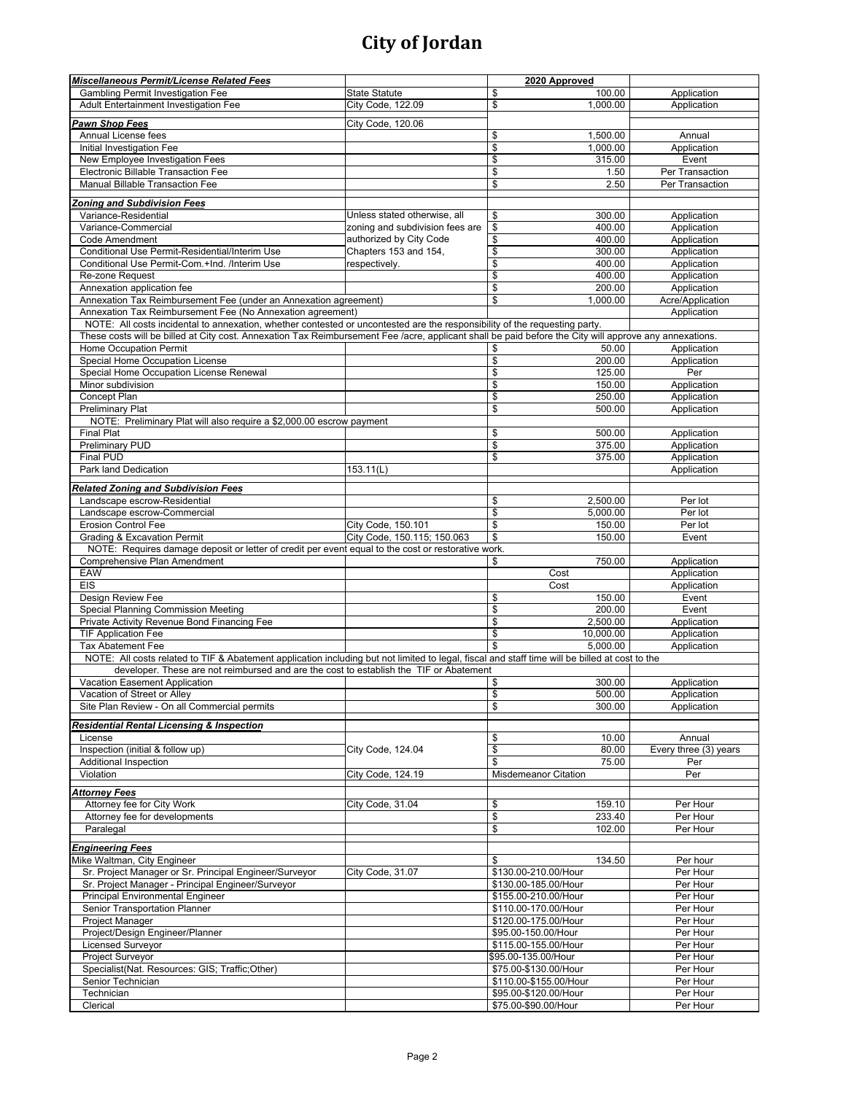| Miscellaneous Permit/License Related Fees                                                                                                              |                                 | 2020 Approved                      |                       |
|--------------------------------------------------------------------------------------------------------------------------------------------------------|---------------------------------|------------------------------------|-----------------------|
| Gambling Permit Investigation Fee                                                                                                                      | <b>State Statute</b>            | \$<br>100.00                       | Application           |
| Adult Entertainment Investigation Fee                                                                                                                  | City Code, 122.09               | \$<br>1,000.00                     | Application           |
|                                                                                                                                                        |                                 |                                    |                       |
| Pawn Shop Fees                                                                                                                                         | City Code, 120.06               |                                    |                       |
| Annual License fees                                                                                                                                    |                                 | \$<br>1,500.00                     | Annual                |
| Initial Investigation Fee                                                                                                                              |                                 | \$<br>1,000.00                     | Application           |
| New Employee Investigation Fees                                                                                                                        |                                 | \$<br>315.00                       | Event                 |
| Electronic Billable Transaction Fee                                                                                                                    |                                 | \$<br>1.50                         | Per Transaction       |
| Manual Billable Transaction Fee                                                                                                                        |                                 | \$<br>2.50                         | Per Transaction       |
|                                                                                                                                                        |                                 |                                    |                       |
| <b>Zoning and Subdivision Fees</b><br>Variance-Residential                                                                                             |                                 | 300.00                             |                       |
|                                                                                                                                                        | Unless stated otherwise, all    | \$                                 | Application           |
| Variance-Commercial                                                                                                                                    | zoning and subdivision fees are | \$<br>400.00                       | Application           |
| Code Amendment                                                                                                                                         | authorized by City Code         | \$<br>400.00                       | Application           |
| Conditional Use Permit-Residential/Interim Use                                                                                                         | Chapters 153 and 154,           | \$<br>300.00                       | Application           |
| Conditional Use Permit-Com.+Ind. /Interim Use                                                                                                          | respectively.                   | \$<br>400.00                       | Application           |
| Re-zone Request                                                                                                                                        |                                 | \$<br>400.00                       | Application           |
| Annexation application fee                                                                                                                             |                                 | \$<br>200.00                       | Application           |
| Annexation Tax Reimbursement Fee (under an Annexation agreement)                                                                                       |                                 | \$<br>1,000.00                     | Acre/Application      |
| Annexation Tax Reimbursement Fee (No Annexation agreement)                                                                                             |                                 |                                    | Application           |
| NOTE: All costs incidental to annexation, whether contested or uncontested are the responsibility of the requesting party.                             |                                 |                                    |                       |
| These costs will be billed at City cost. Annexation Tax Reimbursement Fee /acre, applicant shall be paid before the City will approve any annexations. |                                 |                                    |                       |
| Home Occupation Permit                                                                                                                                 |                                 | 50.00<br>\$                        | Application           |
| Special Home Occupation License                                                                                                                        |                                 | \$<br>200.00                       | Application           |
| Special Home Occupation License Renewal                                                                                                                |                                 | \$<br>125.00                       | Per                   |
| Minor subdivision                                                                                                                                      |                                 | \$<br>150.00                       | Application           |
| Concept Plan                                                                                                                                           |                                 | \$<br>250.00                       | Application           |
| <b>Preliminary Plat</b>                                                                                                                                |                                 | \$<br>500.00                       | Application           |
| NOTE: Preliminary Plat will also require a \$2,000.00 escrow payment                                                                                   |                                 |                                    |                       |
| <b>Final Plat</b>                                                                                                                                      |                                 | \$<br>500.00                       | Application           |
| <b>Preliminary PUD</b>                                                                                                                                 |                                 | \$<br>375.00                       | Application           |
| <b>Final PUD</b>                                                                                                                                       |                                 | \$<br>375.00                       | Application           |
| Park land Dedication                                                                                                                                   | 153.11(L)                       |                                    | Application           |
|                                                                                                                                                        |                                 |                                    |                       |
| <b>Related Zoning and Subdivision Fees</b>                                                                                                             |                                 |                                    |                       |
| Landscape escrow-Residential                                                                                                                           |                                 | \$<br>2,500.00                     | Per lot               |
| Landscape escrow-Commercial                                                                                                                            |                                 | \$<br>5,000.00                     | Per lot               |
| <b>Erosion Control Fee</b>                                                                                                                             | City Code, 150.101              | $\overline{\mathcal{S}}$<br>150.00 | Per lot               |
| <b>Grading &amp; Excavation Permit</b>                                                                                                                 | City Code, 150.115; 150.063     | \$<br>150.00                       | Event                 |
| NOTE: Requires damage deposit or letter of credit per event equal to the cost or restorative work.                                                     |                                 |                                    |                       |
| Comprehensive Plan Amendment                                                                                                                           |                                 | 750.00<br>\$                       | Application           |
| <b>EAW</b>                                                                                                                                             |                                 | Cost                               | Application           |
| <b>EIS</b>                                                                                                                                             |                                 | Cost                               | Application           |
| Design Review Fee                                                                                                                                      |                                 | 150.00<br>\$                       | Event                 |
| Special Planning Commission Meeting                                                                                                                    |                                 | \$<br>200.00                       | Event                 |
|                                                                                                                                                        |                                 | \$<br>2,500.00                     | Application           |
| Private Activity Revenue Bond Financing Fee<br><b>TIF Application Fee</b>                                                                              |                                 | \$<br>10,000.00                    |                       |
|                                                                                                                                                        |                                 | 5.000.00                           | Application           |
| <b>Tax Abatement Fee</b>                                                                                                                               |                                 | \$                                 | Application           |
| NOTE: All costs related to TIF & Abatement application including but not limited to legal, fiscal and staff time will be billed at cost to the         |                                 |                                    |                       |
| developer. These are not reimbursed and are the cost to establish the TIF or Abatement                                                                 |                                 |                                    |                       |
| Vacation Easement Application                                                                                                                          |                                 | 300.00<br>\$                       | Application           |
| Vacation of Street or Alley                                                                                                                            |                                 | \$<br>500.00                       | Application           |
| Site Plan Review - On all Commercial permits                                                                                                           |                                 | \$<br>300.00                       | Application           |
| <b>Residential Rental Licensing &amp; Inspection</b>                                                                                                   |                                 |                                    |                       |
| License                                                                                                                                                |                                 | 10.00<br>\$                        | Annual                |
| Inspection (initial & follow up)                                                                                                                       | City Code, 124.04               | \$<br>80.00                        | Every three (3) years |
| Additional Inspection                                                                                                                                  |                                 | \$<br>75.00                        | Per                   |
| Violation                                                                                                                                              | City Code, 124.19               | <b>Misdemeanor Citation</b>        | Per                   |
|                                                                                                                                                        |                                 |                                    |                       |
| <b>Attorney Fees</b>                                                                                                                                   |                                 |                                    |                       |
| Attorney fee for City Work                                                                                                                             | City Code, 31.04                | \$<br>159.10                       | Per Hour              |
| Attorney fee for developments                                                                                                                          |                                 | \$<br>233.40                       | Per Hour              |
| Paralegal                                                                                                                                              |                                 | \$<br>102.00                       | Per Hour              |
|                                                                                                                                                        |                                 |                                    |                       |
| <b>Engineering Fees</b>                                                                                                                                |                                 |                                    |                       |
| Mike Waltman, City Engineer                                                                                                                            |                                 | 134.50<br>\$                       | Per hour              |
| Sr. Project Manager or Sr. Principal Engineer/Surveyor                                                                                                 | City Code, 31.07                | \$130.00-210.00/Hour               | Per Hour              |
| Sr. Project Manager - Principal Engineer/Surveyor                                                                                                      |                                 | \$130.00-185.00/Hour               | Per Hour              |
| Principal Environmental Engineer                                                                                                                       |                                 | \$155.00-210.00/Hour               | Per Hour              |
| Senior Transportation Planner                                                                                                                          |                                 | \$110.00-170.00/Hour               | Per Hour              |
| Project Manager                                                                                                                                        |                                 | \$120.00-175.00/Hour               | Per Hour              |
| Project/Design Engineer/Planner                                                                                                                        |                                 | \$95.00-150.00/Hour                | Per Hour              |
| <b>Licensed Surveyor</b>                                                                                                                               |                                 | \$115.00-155.00/Hour               | Per Hour              |
| Project Surveyor                                                                                                                                       |                                 | \$95.00-135.00/Hour                | Per Hour              |
| Specialist(Nat. Resources: GIS; Traffic; Other)                                                                                                        |                                 | \$75.00-\$130.00/Hour              | Per Hour              |
| Senior Technician                                                                                                                                      |                                 | \$110.00-\$155.00/Hour             | Per Hour              |
|                                                                                                                                                        |                                 |                                    | Per Hour              |
| Technician                                                                                                                                             |                                 | \$95.00-\$120.00/Hour              |                       |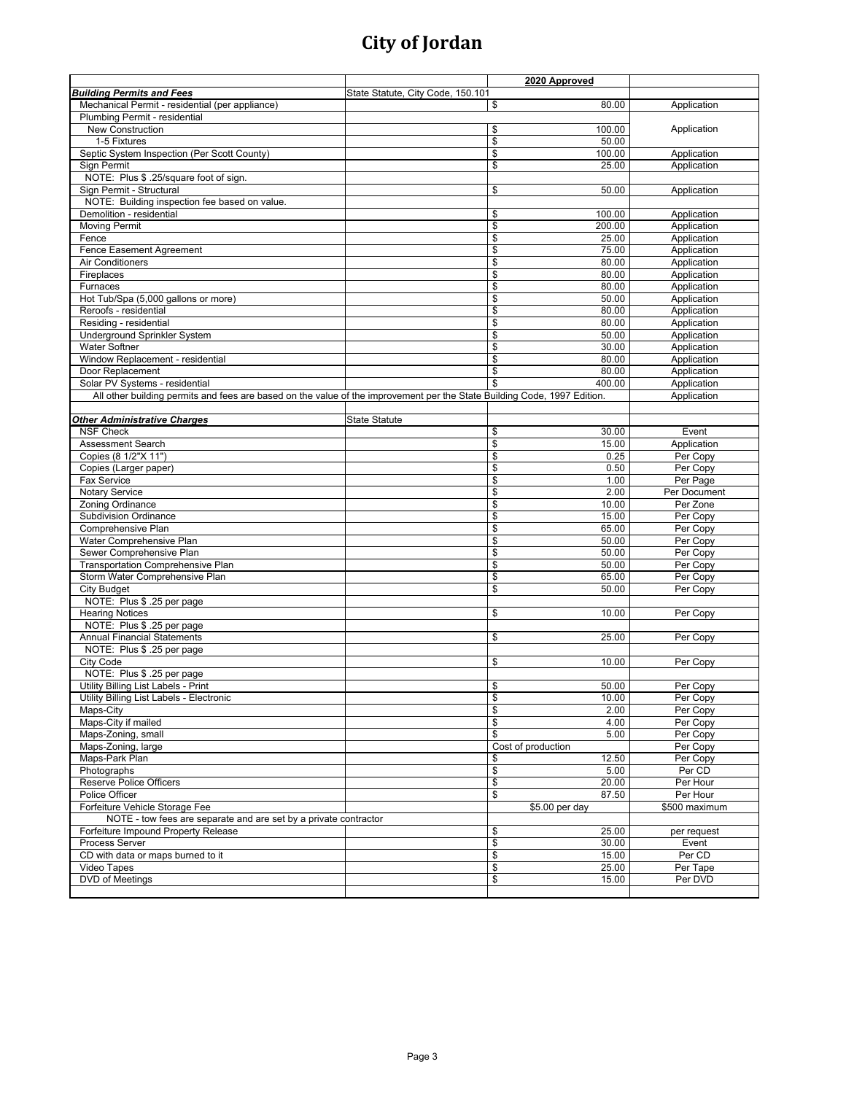|                                                                                                                          |                                   | 2020 Approved                     |                            |
|--------------------------------------------------------------------------------------------------------------------------|-----------------------------------|-----------------------------------|----------------------------|
| <b>Building Permits and Fees</b>                                                                                         | State Statute, City Code, 150.101 |                                   |                            |
| Mechanical Permit - residential (per appliance)                                                                          |                                   | \$<br>80.00                       | Application                |
| Plumbing Permit - residential                                                                                            |                                   |                                   |                            |
| <b>New Construction</b>                                                                                                  |                                   | \$<br>100.00                      | Application                |
| 1-5 Fixtures                                                                                                             |                                   | $\overline{\mathcal{S}}$<br>50.00 |                            |
| Septic System Inspection (Per Scott County)                                                                              |                                   | \$<br>100.00                      | Application                |
| Sign Permit                                                                                                              |                                   | \$<br>25.00                       | Application                |
| NOTE: Plus \$ .25/square foot of sign.                                                                                   |                                   |                                   |                            |
| Sign Permit - Structural                                                                                                 |                                   | \$<br>50.00                       | Application                |
| NOTE: Building inspection fee based on value.                                                                            |                                   | 100.00                            |                            |
| Demolition - residential<br><b>Moving Permit</b>                                                                         |                                   | \$<br>\$<br>200.00                | Application<br>Application |
| Fence                                                                                                                    |                                   | \$<br>25.00                       | Application                |
| <b>Fence Easement Agreement</b>                                                                                          |                                   | \$<br>75.00                       | Application                |
| Air Conditioners                                                                                                         |                                   | \$<br>80.00                       | Application                |
| Fireplaces                                                                                                               |                                   | \$<br>80.00                       | Application                |
| Furnaces                                                                                                                 |                                   | $\overline{\mathcal{S}}$<br>80.00 | Application                |
| Hot Tub/Spa (5,000 gallons or more)                                                                                      |                                   | \$<br>50.00                       | Application                |
| Reroofs - residential                                                                                                    |                                   | \$<br>80.00                       | Application                |
| Residing - residential                                                                                                   |                                   | \$<br>80.00                       | Application                |
| Underground Sprinkler System                                                                                             |                                   | \$<br>50.00                       | Application                |
| <b>Water Softner</b>                                                                                                     |                                   | \$<br>30.00                       | Application                |
| Window Replacement - residential                                                                                         |                                   | $\overline{\mathcal{S}}$<br>80.00 | Application                |
| Door Replacement                                                                                                         |                                   | \$<br>80.00                       | Application                |
| Solar PV Systems - residential                                                                                           |                                   | \$<br>400.00                      | Application                |
| All other building permits and fees are based on the value of the improvement per the State Building Code, 1997 Edition. |                                   |                                   | Application                |
|                                                                                                                          |                                   |                                   |                            |
| <b>Other Administrative Charges</b><br><b>NSF Check</b>                                                                  | <b>State Statute</b>              | \$<br>30.00                       | Event                      |
| Assessment Search                                                                                                        |                                   | $\overline{\mathcal{S}}$<br>15.00 | Application                |
| Copies (8 1/2"X 11")                                                                                                     |                                   | \$<br>0.25                        | Per Copy                   |
| Copies (Larger paper)                                                                                                    |                                   | $\overline{\mathcal{S}}$<br>0.50  | Per Copy                   |
| Fax Service                                                                                                              |                                   | \$<br>1.00                        | Per Page                   |
| <b>Notary Service</b>                                                                                                    |                                   | \$<br>2.00                        | Per Document               |
| Zoning Ordinance                                                                                                         |                                   | \$<br>10.00                       | Per Zone                   |
| Subdivision Ordinance                                                                                                    |                                   | $\overline{\mathcal{S}}$<br>15.00 | Per Copy                   |
| Comprehensive Plan                                                                                                       |                                   | \$<br>65.00                       | Per Copy                   |
| Water Comprehensive Plan                                                                                                 |                                   | \$<br>50.00                       | Per Copy                   |
| Sewer Comprehensive Plan                                                                                                 |                                   | \$<br>50.00                       | Per Copy                   |
| Transportation Comprehensive Plan                                                                                        |                                   | \$<br>50.00                       | Per Copy                   |
| Storm Water Comprehensive Plan                                                                                           |                                   | \$<br>65.00                       | Per Copy                   |
| <b>City Budget</b><br>NOTE: Plus \$ .25 per page                                                                         |                                   | $\overline{\mathcal{S}}$<br>50.00 | Per Copy                   |
| <b>Hearing Notices</b>                                                                                                   |                                   | \$                                |                            |
| NOTE: Plus \$ .25 per page                                                                                               |                                   | 10.00                             | Per Copy                   |
| <b>Annual Financial Statements</b>                                                                                       |                                   | \$<br>25.00                       | Per Copy                   |
| NOTE: Plus \$ .25 per page                                                                                               |                                   |                                   |                            |
| City Code                                                                                                                |                                   | \$<br>10.00                       | Per Copy                   |
| NOTE: Plus \$ .25 per page                                                                                               |                                   |                                   |                            |
| Utility Billing List Labels - Print                                                                                      |                                   | \$<br>50.00                       | Per Copy                   |
| Utility Billing List Labels - Electronic                                                                                 |                                   | \$<br>10.00                       | Per Copy                   |
| Maps-City                                                                                                                |                                   | $\sqrt{2}$<br>2.00                | Per Copy                   |
| Maps-City if mailed                                                                                                      |                                   | \$<br>4.00                        | Per Copy                   |
| Maps-Zoning, small                                                                                                       |                                   | \$<br>5.00                        | Per Copy                   |
| Maps-Zoning, large                                                                                                       |                                   | Cost of production                | Per Copy                   |
| Maps-Park Plan                                                                                                           |                                   | 12.50<br>\$                       | Per Copy                   |
| Photographs                                                                                                              |                                   | \$<br>5.00                        | Per CD                     |
| <b>Reserve Police Officers</b>                                                                                           |                                   | $\overline{\mathcal{S}}$<br>20.00 | Per Hour                   |
| Police Officer                                                                                                           |                                   | \$<br>87.50                       | Per Hour                   |
| Forfeiture Vehicle Storage Fee                                                                                           |                                   | \$5.00 per day                    | \$500 maximum              |
| NOTE - tow fees are separate and are set by a private contractor<br>Forfeiture Impound Property Release                  |                                   | 25.00<br>\$                       | per request                |
| Process Server                                                                                                           |                                   | \$<br>30.00                       | Event                      |
| CD with data or maps burned to it                                                                                        |                                   | \$<br>15.00                       | Per CD                     |
| Video Tapes                                                                                                              |                                   | \$<br>25.00                       | Per Tape                   |
| DVD of Meetings                                                                                                          |                                   | \$<br>15.00                       | Per DVD                    |
|                                                                                                                          |                                   |                                   |                            |